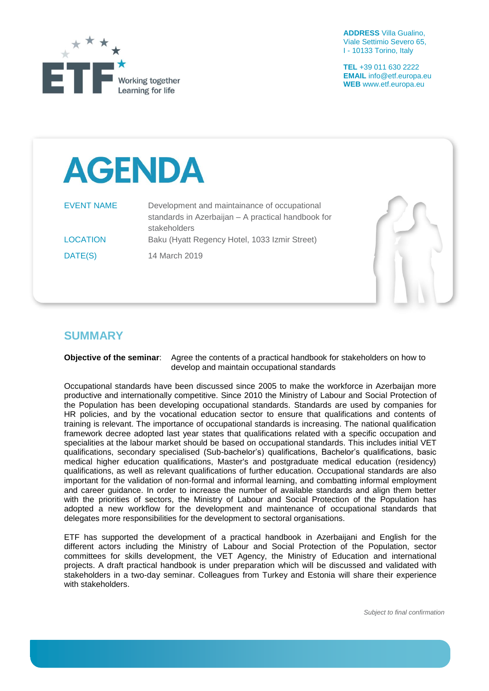

**ADDRESS** Villa Gualino, Viale Settimio Severo 65, I - 10133 Torino, Italy

**TEL** +39 011 630 2222 **EMAIL** info@etf.europa.eu **WEB** www.etf.europa.eu

## **AGENDA**

| <b>EVENT NAME</b> | Development and maintainance of occupational       |
|-------------------|----------------------------------------------------|
|                   | standards in Azerbaijan - A practical handbook for |
|                   | stakeholders                                       |
| <b>LOCATION</b>   | Baku (Hyatt Regency Hotel, 1033 Izmir Street)      |
| DATE(S)           | 14 March 2019                                      |



## **SUMMARY**

## **Objective of the seminar**: Agree the contents of a practical handbook for stakeholders on how to develop and maintain occupational standards

Occupational standards have been discussed since 2005 to make the workforce in Azerbaijan more productive and internationally competitive. Since 2010 the Ministry of Labour and Social Protection of the Population has been developing occupational standards. Standards are used by companies for HR policies, and by the vocational education sector to ensure that qualifications and contents of training is relevant. The importance of occupational standards is increasing. The national qualification framework decree adopted last year states that qualifications related with a specific occupation and specialities at the labour market should be based on occupational standards. This includes initial VET qualifications, secondary specialised (Sub-bachelor's) qualifications, Bachelor's qualifications, basic medical higher education qualifications, Master's and postgraduate medical education (residency) qualifications, as well as relevant qualifications of further education. Occupational standards are also important for the validation of non-formal and informal learning, and combatting informal employment and career guidance. In order to increase the number of available standards and align them better with the priorities of sectors, the Ministry of Labour and Social Protection of the Population has adopted a new workflow for the development and maintenance of occupational standards that delegates more responsibilities for the development to sectoral organisations.

ETF has supported the development of a practical handbook in Azerbaijani and English for the different actors including the Ministry of Labour and Social Protection of the Population, sector committees for skills development, the VET Agency, the Ministry of Education and international projects. A draft practical handbook is under preparation which will be discussed and validated with stakeholders in a two-day seminar. Colleagues from Turkey and Estonia will share their experience with stakeholders.

*Subject to final confirmation*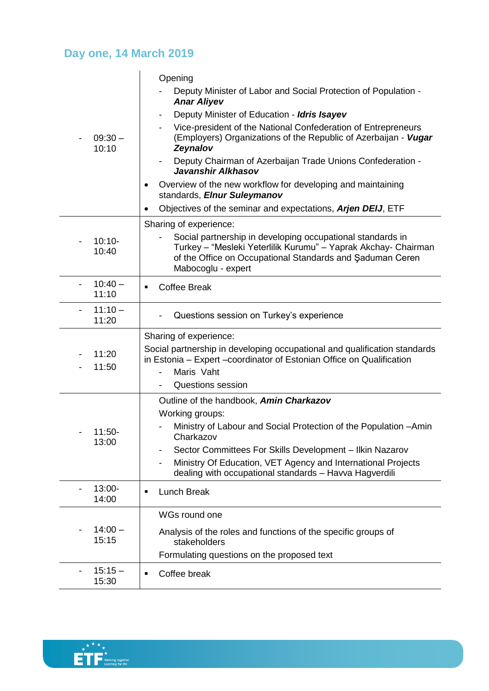## **Day one, 14 March 2019**

| $09:30 -$<br>10:10      | Opening                                                                                                                                                                                                         |
|-------------------------|-----------------------------------------------------------------------------------------------------------------------------------------------------------------------------------------------------------------|
|                         | Deputy Minister of Labor and Social Protection of Population -<br><b>Anar Aliyev</b>                                                                                                                            |
|                         | Deputy Minister of Education - Idris Isayev<br>$\overline{\phantom{a}}$                                                                                                                                         |
|                         | Vice-president of the National Confederation of Entrepreneurs<br>$\overline{\phantom{a}}$<br>(Employers) Organizations of the Republic of Azerbaijan - Vugar<br>Zeynalov                                        |
|                         | Deputy Chairman of Azerbaijan Trade Unions Confederation -<br>$\overline{\phantom{a}}$<br>Javanshir Alkhasov                                                                                                    |
|                         | Overview of the new workflow for developing and maintaining<br>standards, Elnur Suleymanov                                                                                                                      |
|                         | Objectives of the seminar and expectations, Arjen DEIJ, ETF                                                                                                                                                     |
|                         | Sharing of experience:                                                                                                                                                                                          |
| $10:10-$<br>10:40       | Social partnership in developing occupational standards in<br>Turkey - "Mesleki Yeterlilik Kurumu" - Yaprak Akchay- Chairman<br>of the Office on Occupational Standards and Saduman Ceren<br>Mabocoglu - expert |
| $10:40 -$<br>11:10      | <b>Coffee Break</b>                                                                                                                                                                                             |
| $11:10 -$<br>-<br>11:20 | Questions session on Turkey's experience                                                                                                                                                                        |
|                         |                                                                                                                                                                                                                 |
|                         | Sharing of experience:                                                                                                                                                                                          |
| 11:20<br>11:50          | Social partnership in developing occupational and qualification standards<br>in Estonia - Expert -coordinator of Estonian Office on Qualification<br>Maris Vaht                                                 |
|                         | <b>Questions session</b>                                                                                                                                                                                        |
|                         | Outline of the handbook, Amin Charkazov                                                                                                                                                                         |
|                         | Working groups:                                                                                                                                                                                                 |
| $11:50-$                | Ministry of Labour and Social Protection of the Population -Amin<br>Charkazov                                                                                                                                   |
| 13:00                   | Sector Committees For Skills Development - Ilkin Nazarov                                                                                                                                                        |
|                         | Ministry Of Education, VET Agency and International Projects<br>dealing with occupational standards - Havva Hagverdili                                                                                          |
| $13:00 -$<br>14:00      | <b>Lunch Break</b><br>$\blacksquare$                                                                                                                                                                            |
|                         | WGs round one                                                                                                                                                                                                   |
| $14:00 -$<br>15:15      | Analysis of the roles and functions of the specific groups of<br>stakeholders                                                                                                                                   |
|                         | Formulating questions on the proposed text                                                                                                                                                                      |